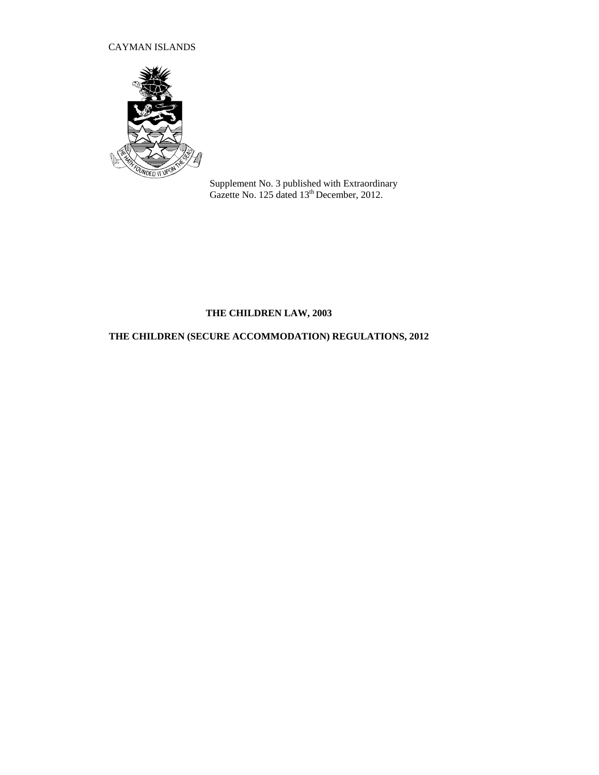## CAYMAN ISLANDS



Supplement No. 3 published with Extraordinary Gazette No. 125 dated 13<sup>th</sup> December, 2012.

# **THE CHILDREN LAW, 2003**

# **THE CHILDREN (SECURE ACCOMMODATION) REGULATIONS, 2012**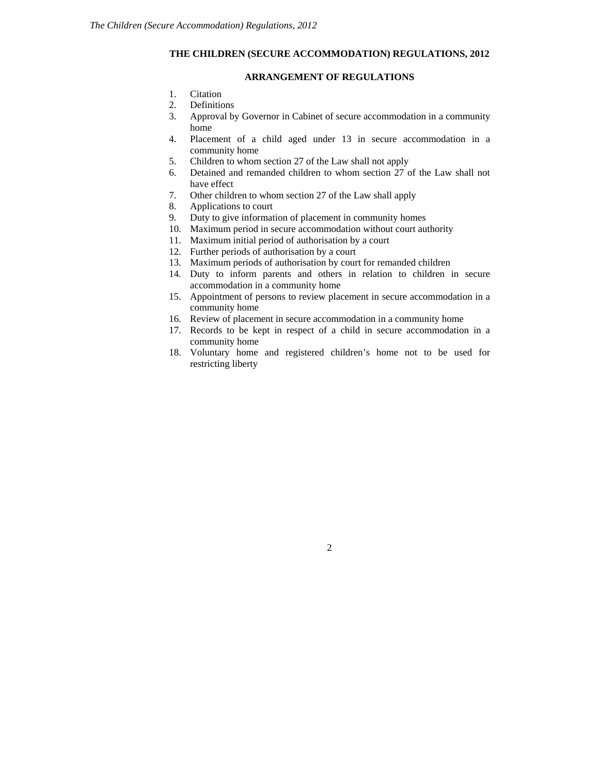## **THE CHILDREN (SECURE ACCOMMODATION) REGULATIONS, 2012**

### **ARRANGEMENT OF REGULATIONS**

- 1. Citation
- 2. Definitions
- 3. Approval by Governor in Cabinet of secure accommodation in a community home
- 4. Placement of a child aged under 13 in secure accommodation in a community home
- 5. Children to whom section 27 of the Law shall not apply
- 6. Detained and remanded children to whom section 27 of the Law shall not have effect
- 7. Other children to whom section 27 of the Law shall apply
- 8. Applications to court
- 9. Duty to give information of placement in community homes
- 10. Maximum period in secure accommodation without court authority
- 11. Maximum initial period of authorisation by a court
- 12. Further periods of authorisation by a court
- 13. Maximum periods of authorisation by court for remanded children
- 14. Duty to inform parents and others in relation to children in secure accommodation in a community home
- 15. Appointment of persons to review placement in secure accommodation in a community home
- 16. Review of placement in secure accommodation in a community home
- 17. Records to be kept in respect of a child in secure accommodation in a community home
- 18. Voluntary home and registered children's home not to be used for restricting liberty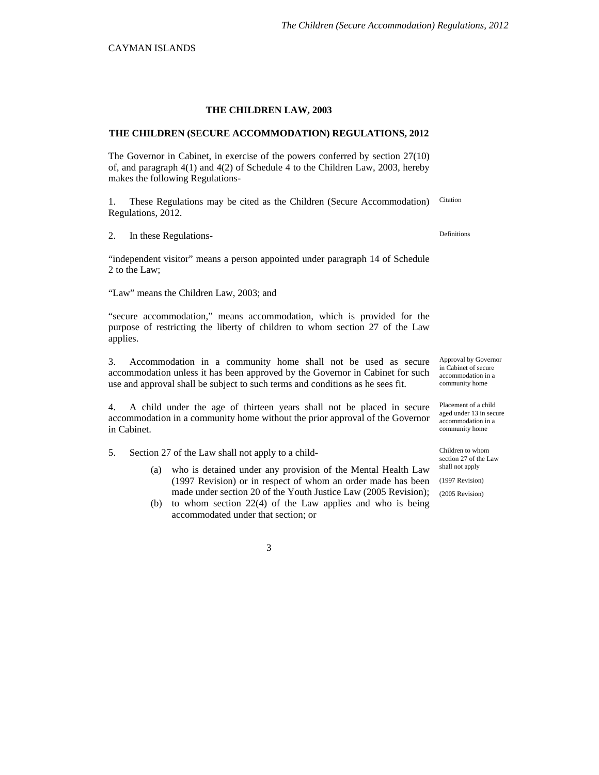#### **THE CHILDREN LAW, 2003**

### **THE CHILDREN (SECURE ACCOMMODATION) REGULATIONS, 2012**

The Governor in Cabinet, in exercise of the powers conferred by section 27(10) of, and paragraph 4(1) and 4(2) of Schedule 4 to the Children Law, 2003, hereby makes the following Regulations-

1. These Regulations may be cited as the Children (Secure Accommodation) Regulations, 2012. **Citation** 

2. In these Regulations-<br>
Definitions

"independent visitor" means a person appointed under paragraph 14 of Schedule 2 to the Law;

"Law" means the Children Law, 2003; and

"secure accommodation," means accommodation, which is provided for the purpose of restricting the liberty of children to whom section 27 of the Law applies.

3. Accommodation in a community home shall not be used as secure accommodation unless it has been approved by the Governor in Cabinet for such use and approval shall be subject to such terms and conditions as he sees fit.

4. A child under the age of thirteen years shall not be placed in secure accommodation in a community home without the prior approval of the Governor in Cabinet.

5. Section 27 of the Law shall not apply to a child- Children to whom Children to whom

- (a) who is detained under any provision of the Mental Health Law  $\frac{\text{shall not apply}}{\text{S}}}$ (1997 Revision) or in respect of whom an order made has been made under section 20 of the Youth Justice Law (2005 Revision);
- (b) to whom section 22(4) of the Law applies and who is being accommodated under that section; or

Approval by Governor in Cabinet of secure accommodation in a community home

Placement of a child aged under 13 in secure accommodation in a community home

section 27 of the Law

(1997 Revision)

(2005 Revision)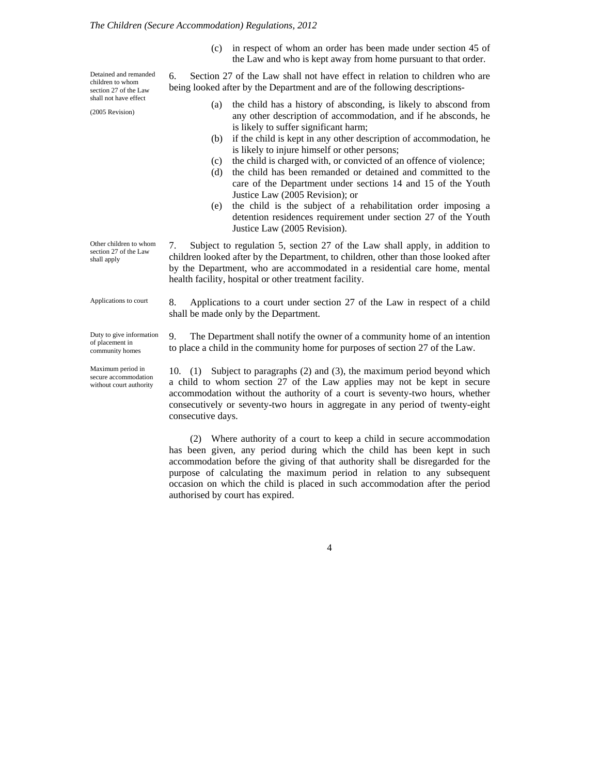(c) in respect of whom an order has been made under section 45 of the Law and who is kept away from home pursuant to that order.

6. Section 27 of the Law shall not have effect in relation to children who are being looked after by the Department and are of the following descriptions-

- (a) the child has a history of absconding, is likely to abscond from any other description of accommodation, and if he absconds, he is likely to suffer significant harm;
- (b) if the child is kept in any other description of accommodation, he is likely to injure himself or other persons;
- (c) the child is charged with, or convicted of an offence of violence;
- (d) the child has been remanded or detained and committed to the care of the Department under sections 14 and 15 of the Youth Justice Law (2005 Revision); or
- (e) the child is the subject of a rehabilitation order imposing a detention residences requirement under section 27 of the Youth Justice Law (2005 Revision).

7. Subject to regulation 5, section 27 of the Law shall apply, in addition to children looked after by the Department, to children, other than those looked after by the Department, who are accommodated in a residential care home, mental health facility, hospital or other treatment facility.

8. Applications to a court under section 27 of the Law in respect of a child shall be made only by the Department.

9. The Department shall notify the owner of a community home of an intention to place a child in the community home for purposes of section 27 of the Law.

10. (1) Subject to paragraphs (2) and (3), the maximum period beyond which a child to whom section 27 of the Law applies may not be kept in secure accommodation without the authority of a court is seventy-two hours, whether consecutively or seventy-two hours in aggregate in any period of twenty-eight consecutive days.

(2) Where authority of a court to keep a child in secure accommodation has been given, any period during which the child has been kept in such accommodation before the giving of that authority shall be disregarded for the purpose of calculating the maximum period in relation to any subsequent occasion on which the child is placed in such accommodation after the period authorised by court has expired.

Applications to court

Other children to whom section 27 of the Law shall apply

Detained and remanded children to whom section 27 of the Law shall not have effect

(2005 Revision)

Duty to give information of placement in

Maximum period in secure accommodation without court authority

community homes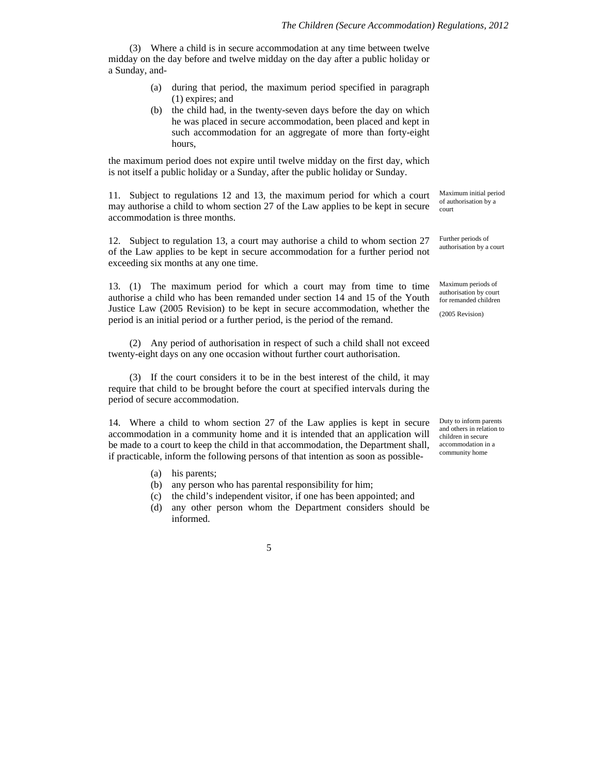(3) Where a child is in secure accommodation at any time between twelve midday on the day before and twelve midday on the day after a public holiday or a Sunday, and-

- (a) during that period, the maximum period specified in paragraph (1) expires; and
- (b) the child had, in the twenty-seven days before the day on which he was placed in secure accommodation, been placed and kept in such accommodation for an aggregate of more than forty-eight hours,

the maximum period does not expire until twelve midday on the first day, which is not itself a public holiday or a Sunday, after the public holiday or Sunday.

11. Subject to regulations 12 and 13, the maximum period for which a court may authorise a child to whom section 27 of the Law applies to be kept in secure accommodation is three months.

12. Subject to regulation 13, a court may authorise a child to whom section 27 of the Law applies to be kept in secure accommodation for a further period not exceeding six months at any one time.

13. (1) The maximum period for which a court may from time to time authorise a child who has been remanded under section 14 and 15 of the Youth Justice Law (2005 Revision) to be kept in secure accommodation, whether the period is an initial period or a further period, is the period of the remand.

(2) Any period of authorisation in respect of such a child shall not exceed twenty-eight days on any one occasion without further court authorisation.

(3) If the court considers it to be in the best interest of the child, it may require that child to be brought before the court at specified intervals during the period of secure accommodation.

14. Where a child to whom section 27 of the Law applies is kept in secure accommodation in a community home and it is intended that an application will be made to a court to keep the child in that accommodation, the Department shall, if practicable, inform the following persons of that intention as soon as possible-

- (a) his parents;
- (b) any person who has parental responsibility for him;
- (c) the child's independent visitor, if one has been appointed; and
- (d) any other person whom the Department considers should be informed.

Maximum initial period of authorisation by a court

Further periods of authorisation by a court

Maximum periods of authorisation by court for remanded children

(2005 Revision)

Duty to inform parents and others in relation to children in secure accommodation in a community home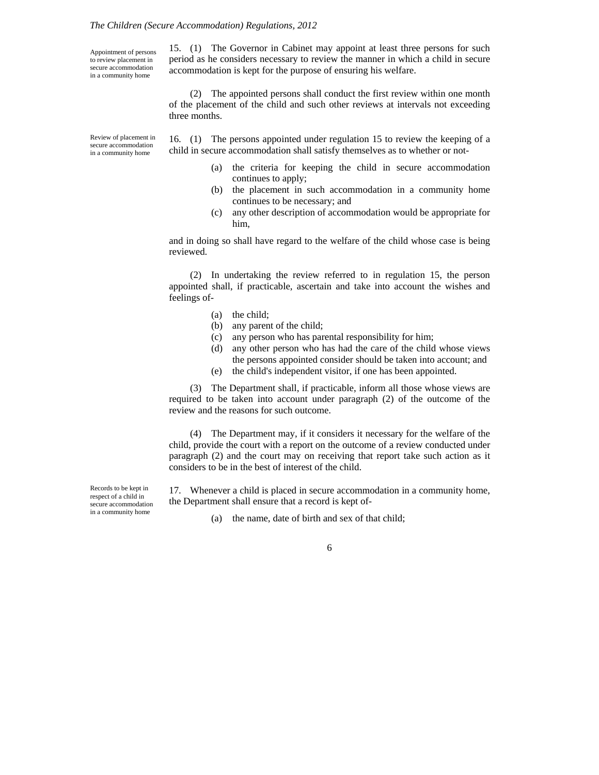#### *The Children (Secure Accommodation) Regulations, 2012*

Appointment of persons to review placement in secure accommodation in a community home

15. (1) The Governor in Cabinet may appoint at least three persons for such period as he considers necessary to review the manner in which a child in secure accommodation is kept for the purpose of ensuring his welfare.

(2) The appointed persons shall conduct the first review within one month of the placement of the child and such other reviews at intervals not exceeding three months.

Review of placement in secure accommodation in a community home

16. (1) The persons appointed under regulation 15 to review the keeping of a child in secure accommodation shall satisfy themselves as to whether or not-

- (a) the criteria for keeping the child in secure accommodation continues to apply;
- (b) the placement in such accommodation in a community home continues to be necessary; and
- (c) any other description of accommodation would be appropriate for him,

and in doing so shall have regard to the welfare of the child whose case is being reviewed.

(2) In undertaking the review referred to in regulation 15, the person appointed shall, if practicable, ascertain and take into account the wishes and feelings of-

- (a) the child;
- (b) any parent of the child;
- (c) any person who has parental responsibility for him;
- (d) any other person who has had the care of the child whose views the persons appointed consider should be taken into account; and
- (e) the child's independent visitor, if one has been appointed.

(3) The Department shall, if practicable, inform all those whose views are required to be taken into account under paragraph (2) of the outcome of the review and the reasons for such outcome.

(4) The Department may, if it considers it necessary for the welfare of the child, provide the court with a report on the outcome of a review conducted under paragraph (2) and the court may on receiving that report take such action as it considers to be in the best of interest of the child.

17. Whenever a child is placed in secure accommodation in a community home, the Department shall ensure that a record is kept of-

(a) the name, date of birth and sex of that child;

6

Records to be kept in respect of a child in secure accommodation in a community home